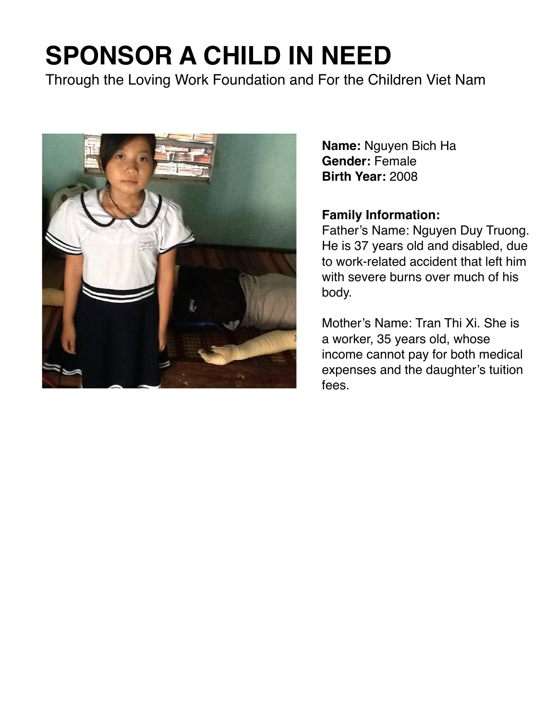Through the Loving Work Foundation and For the Children Viet Nam



**Name:** Nguyen Bich Ha **Gender:** Female **Birth Year:** 2008

#### **Family Information:**

Father's Name: Nguyen Duy Truong. He is 37 years old and disabled, due to work-related accident that left him with severe burns over much of his body.

Mother's Name: Tran Thi Xi. She is a worker, 35 years old, whose income cannot pay for both medical expenses and the daughter's tuition fees.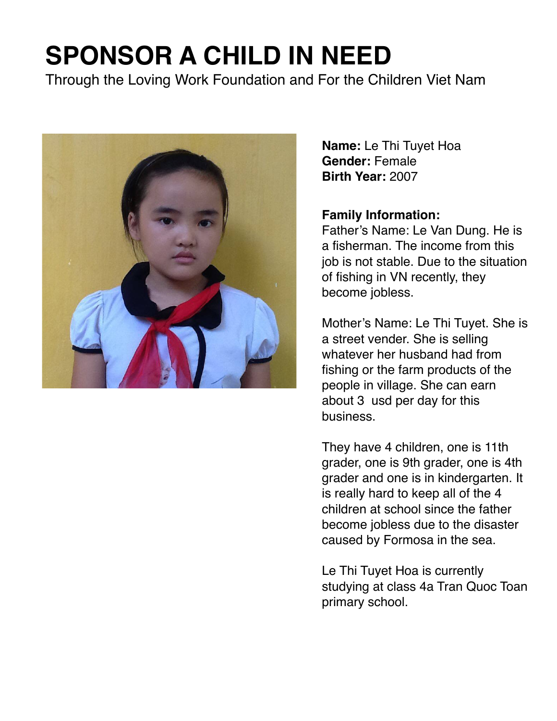Through the Loving Work Foundation and For the Children Viet Nam



**Name:** Le Thi Tuyet Hoa **Gender:** Female **Birth Year:** 2007

#### **Family Information:**

Father's Name: Le Van Dung. He is a fisherman. The income from this job is not stable. Due to the situation of fishing in VN recently, they become jobless.

Mother's Name: Le Thi Tuyet. She is a street vender. She is selling whatever her husband had from fishing or the farm products of the people in village. She can earn about 3 usd per day for this business.

They have 4 children, one is 11th grader, one is 9th grader, one is 4th grader and one is in kindergarten. It is really hard to keep all of the 4 children at school since the father become jobless due to the disaster caused by Formosa in the sea.

Le Thi Tuyet Hoa is currently studying at class 4a Tran Quoc Toan primary school.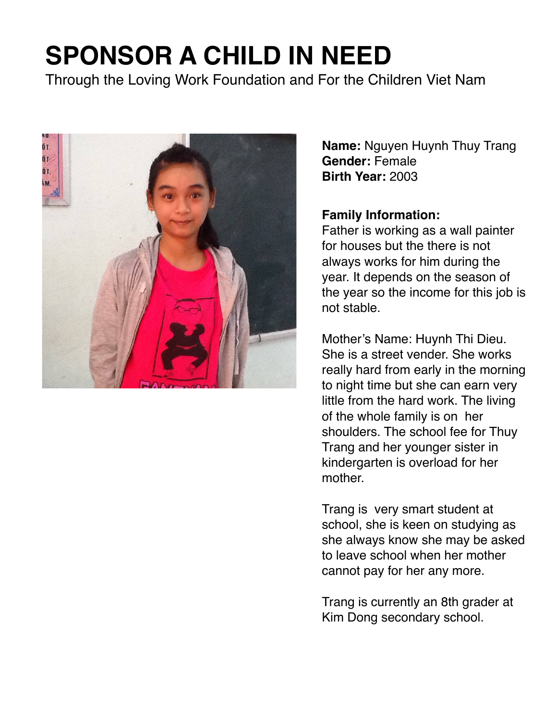Through the Loving Work Foundation and For the Children Viet Nam



**Name:** Nguyen Huynh Thuy Trang **Gender:** Female **Birth Year:** 2003

#### **Family Information:**

Father is working as a wall painter for houses but the there is not always works for him during the year. It depends on the season of the year so the income for this job is not stable.

Mother's Name: Huynh Thi Dieu. She is a street vender. She works really hard from early in the morning to night time but she can earn very little from the hard work. The living of the whole family is on her shoulders. The school fee for Thuy Trang and her younger sister in kindergarten is overload for her mother.

Trang is very smart student at school, she is keen on studying as she always know she may be asked to leave school when her mother cannot pay for her any more.

Trang is currently an 8th grader at Kim Dong secondary school.